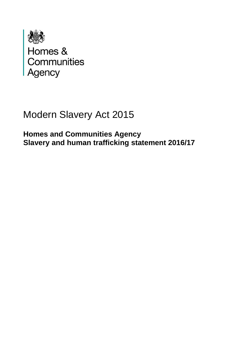

# Modern Slavery Act 2015

**Homes and Communities Agency Slavery and human trafficking statement 2016/17**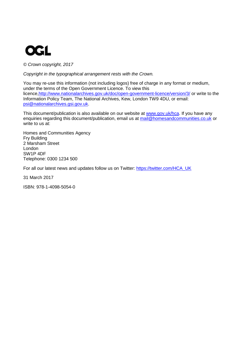# **OGL**

*© Crown copyright, 2017*

*Copyright in the typographical arrangement rests with the Crown.*

You may re-use this information (not including logos) free of charge in any format or medium, under the terms of the Open Government Licence. To view this licence[,http://www.nationalarchives.gov.uk/doc/open-government-licence/version/3/](http://www.nationalarchives.gov.uk/doc/open-government-licence/version/3/) or write to the Information Policy Team, The National Archives, Kew, London TW9 4DU, or email: [psi@nationalarchives.gsi.gov.uk.](mailto:psi@nationalarchives.gsi.gov.uk)

This document/publication is also available on our website at [www.gov.uk/hca.](http://www.gov.uk/hca) If you have any enquiries regarding this document/publication, email us at [mail@homesandcommunities.co.uk](mailto:mail@homesandcommunities.co.uk) or write to us at:

Homes and Communities Agency Fry Building 2 Marsham Street London SW1P 4DF Telephone: 0300 1234 500

For all our latest news and updates follow us on Twitter: [https://twitter.com/HCA\\_UK](https://twitter.com/HCA_UK)

31 March 2017

ISBN: 978-1-4098-5054-0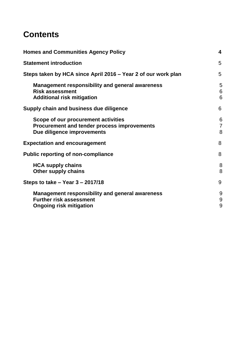# **Contents**

| <b>Homes and Communities Agency Policy</b>                                                                                 | 4                        |
|----------------------------------------------------------------------------------------------------------------------------|--------------------------|
| <b>Statement introduction</b>                                                                                              | 5                        |
| Steps taken by HCA since April 2016 – Year 2 of our work plan                                                              | 5                        |
| <b>Management responsibility and general awareness</b><br><b>Risk assessment</b><br><b>Additional risk mitigation</b>      | 5<br>6<br>6              |
| Supply chain and business due diligence                                                                                    | 6                        |
| Scope of our procurement activities<br><b>Procurement and tender process improvements</b><br>Due diligence improvements    | 6<br>$\overline{7}$<br>8 |
| <b>Expectation and encouragement</b>                                                                                       | 8                        |
| <b>Public reporting of non-compliance</b>                                                                                  | 8                        |
| <b>HCA supply chains</b><br><b>Other supply chains</b>                                                                     | 8<br>8                   |
| Steps to take $-$ Year 3 $-$ 2017/18                                                                                       | 9                        |
| <b>Management responsibility and general awareness</b><br><b>Further risk assessment</b><br><b>Ongoing risk mitigation</b> | 9<br>9<br>9              |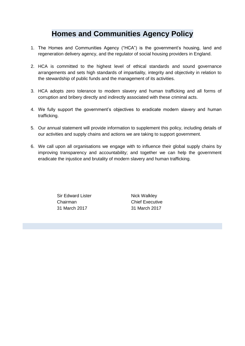# **Homes and Communities Agency Policy**

- <span id="page-3-0"></span>1. The Homes and Communities Agency ("HCA") is the government's housing, land and regeneration delivery agency, and the regulator of social housing providers in England.
- 2. HCA is committed to the highest level of ethical standards and sound governance arrangements and sets high standards of impartiality, integrity and objectivity in relation to the stewardship of public funds and the management of its activities.
- 3. HCA adopts zero tolerance to modern slavery and human trafficking and all forms of corruption and bribery directly and indirectly associated with these criminal acts.
- 4. We fully support the government's objectives to eradicate modern slavery and human trafficking.
- 5. Our annual statement will provide information to supplement this policy, including details of our activities and supply chains and actions we are taking to support government.
- 6. We call upon all organisations we engage with to influence their global supply chains by improving transparency and accountability; and together we can help the government eradicate the injustice and brutality of modern slavery and human trafficking.

Sir Edward Lister Nick Walkley Chairman Chief Executive 31 March 2017 31 March 2017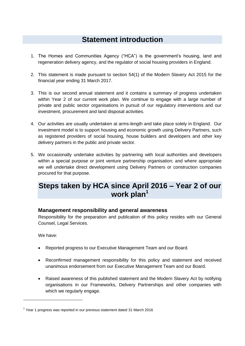# **Statement introduction**

- <span id="page-4-0"></span>1. The Homes and Communities Agency ("HCA") is the government's housing, land and regeneration delivery agency, and the regulator of social housing providers in England.
- 2. This statement is made pursuant to section 54(1) of the Modern Slavery Act 2015 for the financial year ending 31 March 2017.
- 3. This is our second annual statement and it contains a summary of progress undertaken within Year 2 of our current work plan. We continue to engage with a large number of private and public sector organisations in pursuit of our regulatory interventions and our investment, procurement and land disposal activities.
- 4. Our activities are usually undertaken at arms-length and take place solely in England. Our investment model is to support housing and economic growth using Delivery Partners, such as registered providers of social housing, house builders and developers and other key delivery partners in the public and private sector.
- 5. We occasionally undertake activities by partnering with local authorities and developers within a special purpose or joint venture partnership organisation; and where appropriate we will undertake direct development using Delivery Partners or construction companies procured for that purpose.

# <span id="page-4-1"></span>**Steps taken by HCA since April 2016 – Year 2 of our work plan<sup>1</sup>**

#### <span id="page-4-2"></span>**Management responsibility and general awareness**

Responsibility for the preparation and publication of this policy resides with our General Counsel, Legal Services.

We have:

1

- Reported progress to our Executive Management Team and our Board.
- Reconfirmed management responsibility for this policy and statement and received unanimous endorsement from our Executive Management Team and our Board.
- Raised awareness of this published statement and the Modern Slavery Act by notifying organisations in our Frameworks, Delivery Partnerships and other companies with which we regularly engage.

<sup>&</sup>lt;sup>1</sup> Year 1 progress was reported in our previous statement dated 31 March 2016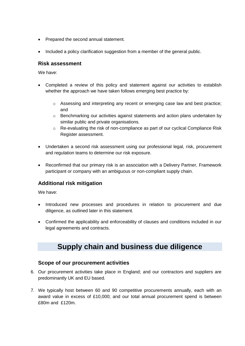- Prepared the second annual statement.
- Included a policy clarification suggestion from a member of the general public.

#### <span id="page-5-0"></span>**Risk assessment**

We have:

- Completed a review of this policy and statement against our activities to establish whether the approach we have taken follows emerging best practice by:
	- $\circ$  Assessing and interpreting any recent or emerging case law and best practice; and
	- o Benchmarking our activities against statements and action plans undertaken by similar public and private organisations.
	- $\circ$  Re-evaluating the risk of non-compliance as part of our cyclical Compliance Risk Register assessment.
- Undertaken a second risk assessment using our professional legal, risk, procurement and regulation teams to determine our risk exposure.
- Reconfirmed that our primary risk is an association with a Delivery Partner, Framework participant or company with an ambiguous or non-compliant supply chain.

#### <span id="page-5-1"></span>**Additional risk mitigation**

We have:

- Introduced new processes and procedures in relation to procurement and due diligence, as outlined later in this statement.
- <span id="page-5-2"></span> Confirmed the applicability and enforceability of clauses and conditions included in our legal agreements and contracts.

### **Supply chain and business due diligence**

#### <span id="page-5-3"></span>**Scope of our procurement activities**

- 6. Our procurement activities take place in England; and our contractors and suppliers are predominantly UK and EU based.
- 7. We typically host between 60 and 90 competitive procurements annually, each with an award value in excess of £10,000; and our total annual procurement spend is between £80m and £120m.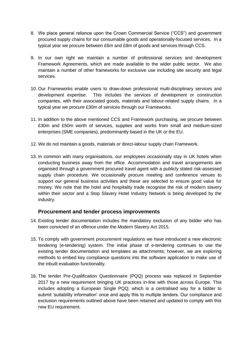- 8. We place general reliance upon the Crown Commercial Service ("CCS") and government procured supply chains for our consumable goods and operationally-focused services. In a typical year we procure between £6m and £8m of goods and services through CCS.
- 9. In our own right we maintain a number of professional services and development Framework Agreements, which are made available to the wider public sector. We also maintain a number of other frameworks for exclusive use including site security and legal services.
- 10. Our Frameworks enable users to draw-down professional multi-disciplinary services and development expertise. This includes the services of development or construction companies, with their associated goods, materials and labour-related supply chains. In a typical year we procure £30m of services through our Frameworks.
- 11. In addition to the above mentioned CCS and Framework purchasing, we procure between £30m and £50m worth of services, supplies and works from small and medium-sized enterprises (SME companies), predominantly based in the UK or the EU.
- 12. We do not maintain a goods, materials or direct-labour supply chain Framework.
- 13. In common with many organisations, our employees occasionally stay in UK hotels when conducting business away from the office. Accommodation and travel arrangements are organised through a government procured travel agent with a publicly stated risk-assessed supply chain procedure. We occasionally procure meeting and conference venues to support our general business activities and these are selected to ensure good value for money. We note that the hotel and hospitality trade recognise the risk of modern slavery within their sector and a Stop Slavery Hotel Industry Network is being developed by the industry.

#### **Procurement and tender process improvements**

- <span id="page-6-0"></span>14. Existing tender documentation includes the mandatory exclusion of any bidder who has been convicted of an offence under the Modern Slavery Act 2015.
- 15. To comply with government procurement regulations we have introduced a new electronic tendering (e-tendering) system. The initial phase of e-tendering continues to use the existing tender documentation and templates as attachments; however, we are exploring methods to embed key compliance questions into the software application to make use of the inbuilt evaluation functionality.
- 16. The tender Pre-Qualification Questionnaire (PQQ) process was replaced in September 2017 by a new requirement bringing UK practices in-line with those across Europe. This includes adopting a European Single PQQ, which is a centralised way for a bidder to submit 'suitability information' once and apply this to multiple tenders. Our compliance and exclusion requirements outlined above have been retained and updated to comply with this new EU requirement.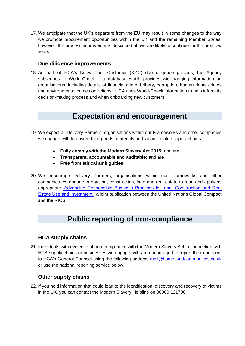17. We anticipate that the UK's departure from the EU may result in some changes to the way we promote procurement opportunities within the UK and the remaining Member States; however, the process improvements described above are likely to continue for the next few years.

#### **Due diligence improvements**

<span id="page-7-0"></span>18. As part of HCA's Know Your Customer (KYC) due diligence process, the Agency subscribes to World-Check – a database which provides wide-ranging information on organisations, including details of financial crime, bribery, corruption, human rights crimes and environmental crime convictions. HCA uses World-Check information to help inform its decision-making process and when onboarding new customers.

### **Expectation and encouragement**

- <span id="page-7-1"></span>19. We expect all Delivery Partners, organisations within our Frameworks and other companies we engage with to ensure their goods, materials and labour-related supply chains:
	- **Fully comply with the Modern Slavery Act 2015;** and are
	- **Transparent, accountable and auditable;** and are
	- **Free from ethical ambiguities**.
- 20. We encourage Delivery Partners, organisations within our Frameworks and other companies we engage in housing, construction, land and real estate to read and apply as appropriate ['Advancing Responsible Business Practices in Land, Construction and Real](http://www.rics.org/Global/RICS%20UNGC%20Advancing%20Responsible%20Business%20-%20Full%20Report.pdf)  [Estate Use and Investment',](http://www.rics.org/Global/RICS%20UNGC%20Advancing%20Responsible%20Business%20-%20Full%20Report.pdf) a joint publication between the United Nations Global Compact and the RICS.

# **Public reporting of non-compliance**

#### <span id="page-7-3"></span><span id="page-7-2"></span>**HCA supply chains**

21. Individuals with evidence of non-compliance with the Modern Slavery Act in connection with HCA supply chains or businesses we engage with are encouraged to report their concerns to HCA's General Counsel using the following address [mail@homesandcommunities.co.uk](mailto:mail@homesandcommunities.co.uk) or use the national reporting service below.

#### **Other supply chains**

<span id="page-7-4"></span>22. If you hold information that could lead to the identification, discovery and recovery of victims in the UK, you can contact the Modern Slavery Helpline on 08000 121700.